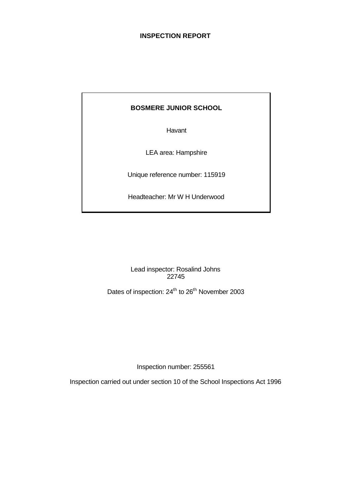# **INSPECTION REPORT**

# **BOSMERE JUNIOR SCHOOL**

Havant

LEA area: Hampshire

Unique reference number: 115919

Headteacher: Mr W H Underwood

Lead inspector: Rosalind Johns 22745

Dates of inspection: 24<sup>th</sup> to 26<sup>th</sup> November 2003

Inspection number: 255561

Inspection carried out under section 10 of the School Inspections Act 1996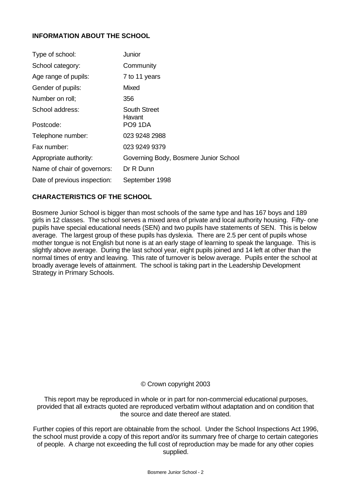# **INFORMATION ABOUT THE SCHOOL**

| Type of school:              | Junior                                |
|------------------------------|---------------------------------------|
| School category:             | Community                             |
| Age range of pupils:         | 7 to 11 years                         |
| Gender of pupils:            | <b>Mixed</b>                          |
| Number on roll;              | 356                                   |
| School address:              | <b>South Street</b><br>Havant         |
| Postcode:                    | PO9 1DA                               |
| Telephone number:            | 023 9248 2988                         |
| Fax number:                  | 023 9249 9379                         |
| Appropriate authority:       | Governing Body, Bosmere Junior School |
| Name of chair of governors:  | Dr R Dunn                             |
| Date of previous inspection: | September 1998                        |

## **CHARACTERISTICS OF THE SCHOOL**

Bosmere Junior School is bigger than most schools of the same type and has 167 boys and 189 girls in 12 classes. The school serves a mixed area of private and local authority housing. Fifty- one pupils have special educational needs (SEN) and two pupils have statements of SEN. This is below average. The largest group of these pupils has dyslexia. There are 2.5 per cent of pupils whose mother tongue is not English but none is at an early stage of learning to speak the language. This is slightly above average. During the last school year, eight pupils joined and 14 left at other than the normal times of entry and leaving. This rate of turnover is below average. Pupils enter the school at broadly average levels of attainment. The school is taking part in the Leadership Development Strategy in Primary Schools.

## © Crown copyright 2003

This report may be reproduced in whole or in part for non-commercial educational purposes, provided that all extracts quoted are reproduced verbatim without adaptation and on condition that the source and date thereof are stated.

Further copies of this report are obtainable from the school. Under the School Inspections Act 1996, the school must provide a copy of this report and/or its summary free of charge to certain categories of people. A charge not exceeding the full cost of reproduction may be made for any other copies supplied.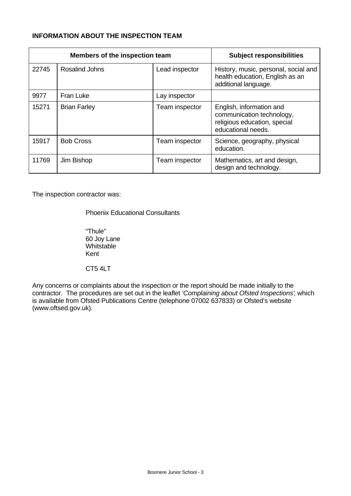# **INFORMATION ABOUT THE INSPECTION TEAM**

|       | Members of the inspection team | <b>Subject responsibilities</b> |                                                                                                             |
|-------|--------------------------------|---------------------------------|-------------------------------------------------------------------------------------------------------------|
| 22745 | <b>Rosalind Johns</b>          | Lead inspector                  | History, music, personal, social and<br>health education, English as an<br>additional language.             |
| 9977  | <b>Fran Luke</b>               | Lay inspector                   |                                                                                                             |
| 15271 | <b>Brian Farley</b>            | Team inspector                  | English, information and<br>communication technology,<br>religious education, special<br>educational needs. |
| 15917 | <b>Bob Cross</b>               | Team inspector                  | Science, geography, physical<br>education.                                                                  |
| 11769 | Jim Bishop                     | Team inspector                  | Mathematics, art and design,<br>design and technology.                                                      |

The inspection contractor was:

Phoenix Educational Consultants

"Thule" 60 Joy Lane **Whitstable** Kent

CT5 4LT

Any concerns or complaints about the inspection or the report should be made initially to the contractor. The procedures are set out in the leaflet *'Complaining about Ofsted Inspections'*, which is available from Ofsted Publications Centre (telephone 07002 637833) or Ofsted's website (www.oftsed.gov.uk).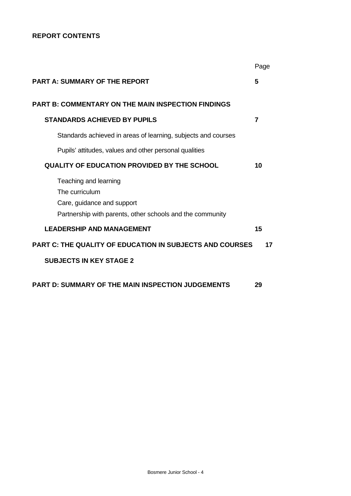# **REPORT CONTENTS**

|                                                                 | Page |
|-----------------------------------------------------------------|------|
| <b>PART A: SUMMARY OF THE REPORT</b>                            | 5    |
| <b>PART B: COMMENTARY ON THE MAIN INSPECTION FINDINGS</b>       |      |
| <b>STANDARDS ACHIEVED BY PUPILS</b>                             | 7    |
| Standards achieved in areas of learning, subjects and courses   |      |
| Pupils' attitudes, values and other personal qualities          |      |
| <b>QUALITY OF EDUCATION PROVIDED BY THE SCHOOL</b>              | 10   |
| Teaching and learning                                           |      |
| The curriculum                                                  |      |
| Care, guidance and support                                      |      |
| Partnership with parents, other schools and the community       |      |
| <b>LEADERSHIP AND MANAGEMENT</b>                                | 15   |
| <b>PART C: THE QUALITY OF EDUCATION IN SUBJECTS AND COURSES</b> | 17   |
| <b>SUBJECTS IN KEY STAGE 2</b>                                  |      |
| <b>PART D: SUMMARY OF THE MAIN INSPECTION JUDGEMENTS</b>        | 29   |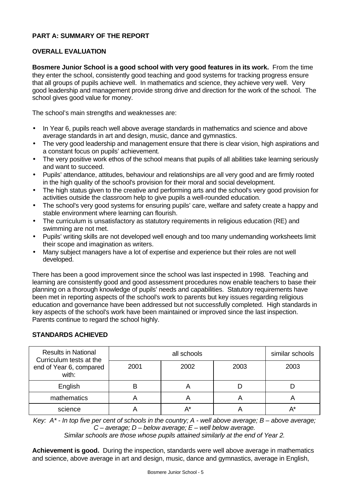# **PART A: SUMMARY OF THE REPORT**

# **OVERALL EVALUATION**

**Bosmere Junior School is a good school with very good features in its work.** From the time they enter the school, consistently good teaching and good systems for tracking progress ensure that all groups of pupils achieve well. In mathematics and science, they achieve very well. Very good leadership and management provide strong drive and direction for the work of the school. The school gives good value for money.

The school's main strengths and weaknesses are:

- In Year 6, pupils reach well above average standards in mathematics and science and above average standards in art and design, music, dance and gymnastics.
- The very good leadership and management ensure that there is clear vision, high aspirations and a constant focus on pupils' achievement.
- The very positive work ethos of the school means that pupils of all abilities take learning seriously and want to succeed.
- Pupils' attendance, attitudes, behaviour and relationships are all very good and are firmly rooted in the high quality of the school's provision for their moral and social development.
- The high status given to the creative and performing arts and the school's very good provision for activities outside the classroom help to give pupils a well-rounded education.
- The school's very good systems for ensuring pupils' care, welfare and safety create a happy and stable environment where learning can flourish.
- The curriculum is unsatisfactory as statutory requirements in religious education (RE) and swimming are not met.
- Pupils' writing skills are not developed well enough and too many undemanding worksheets limit their scope and imagination as writers.
- Many subject managers have a lot of expertise and experience but their roles are not well developed.

There has been a good improvement since the school was last inspected in 1998. Teaching and learning are consistently good and good assessment procedures now enable teachers to base their planning on a thorough knowledge of pupils' needs and capabilities. Statutory requirements have been met in reporting aspects of the school's work to parents but key issues regarding religious education and governance have been addressed but not successfully completed. High standards in key aspects of the school's work have been maintained or improved since the last inspection. Parents continue to regard the school highly.

# **STANDARDS ACHIEVED**

| <b>Results in National</b><br>Curriculum tests at the |      | similar schools |                       |      |
|-------------------------------------------------------|------|-----------------|-----------------------|------|
| end of Year 6, compared<br>with:                      | 2001 | 2002            | 2003                  | 2003 |
| English                                               |      |                 |                       |      |
| mathematics                                           |      |                 | $\mathbf{\mathsf{m}}$ |      |
| science                                               |      | A*              |                       | А*   |

*Key: A\* - In top five per cent of schools in the country; A - well above average; B – above average; C – average; D – below average; E – well below average.*

*Similar schools are those whose pupils attained similarly at the end of Year 2.*

**Achievement is good.** During the inspection, standards were well above average in mathematics and science, above average in art and design, music, dance and gymnastics, average in English,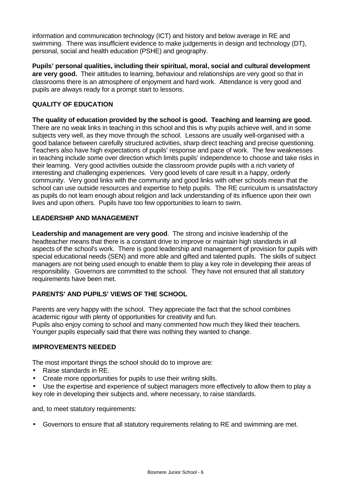information and communication technology (ICT) and history and below average in RE and swimming. There was insufficient evidence to make judgements in design and technology (DT), personal, social and health education (PSHE) and geography.

**Pupils' personal qualities, including their spiritual, moral, social and cultural development are very good.** Their attitudes to learning, behaviour and relationships are very good so that in classrooms there is an atmosphere of enjoyment and hard work. Attendance is very good and pupils are always ready for a prompt start to lessons.

# **QUALITY OF EDUCATION**

**The quality of education provided by the school is good. Teaching and learning are good.** There are no weak links in teaching in this school and this is why pupils achieve well, and in some subjects very well, as they move through the school. Lessons are usually well-organised with a good balance between carefully structured activities, sharp direct teaching and precise questioning. Teachers also have high expectations of pupils' response and pace of work. The few weaknesses in teaching include some over direction which limits pupils' independence to choose and take risks in their learning. Very good activities outside the classroom provide pupils with a rich variety of interesting and challenging experiences. Very good levels of care result in a happy, orderly community. Very good links with the community and good links with other schools mean that the school can use outside resources and expertise to help pupils. The RE curriculum is unsatisfactory as pupils do not learn enough about religion and lack understanding of its influence upon their own lives and upon others. Pupils have too few opportunities to learn to swim.

## **LEADERSHIP AND MANAGEMENT**

**Leadership and management are very good**. The strong and incisive leadership of the headteacher means that there is a constant drive to improve or maintain high standards in all aspects of the school's work. There is good leadership and management of provision for pupils with special educational needs (SEN) and more able and gifted and talented pupils. The skills of subject managers are not being used enough to enable them to play a key role in developing their areas of responsibility. Governors are committed to the school. They have not ensured that all statutory requirements have been met.

# **PARENTS' AND PUPILS' VIEWS OF THE SCHOOL**

Parents are very happy with the school. They appreciate the fact that the school combines academic rigour with plenty of opportunities for creativity and fun. Pupils also enjoy coming to school and many commented how much they liked their teachers. Younger pupils especially said that there was nothing they wanted to change.

# **IMPROVEMENTS NEEDED**

The most important things the school should do to improve are:

- Raise standards in RE.
- Create more opportunities for pupils to use their writing skills.

• Use the expertise and experience of subject managers more effectively to allow them to play a key role in developing their subjects and, where necessary, to raise standards.

and, to meet statutory requirements:

• Governors to ensure that all statutory requirements relating to RE and swimming are met.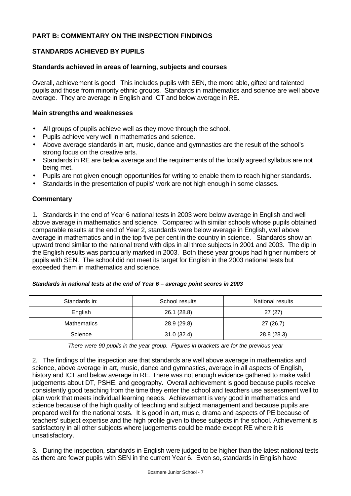# **PART B: COMMENTARY ON THE INSPECTION FINDINGS**

## **STANDARDS ACHIEVED BY PUPILS**

#### **Standards achieved in areas of learning, subjects and courses**

Overall, achievement is good. This includes pupils with SEN, the more able, gifted and talented pupils and those from minority ethnic groups. Standards in mathematics and science are well above average. They are average in English and ICT and below average in RE.

#### **Main strengths and weaknesses**

- All groups of pupils achieve well as they move through the school.
- Pupils achieve very well in mathematics and science.
- Above average standards in art, music, dance and gymnastics are the result of the school's strong focus on the creative arts.
- Standards in RE are below average and the requirements of the locally agreed syllabus are not being met.
- Pupils are not given enough opportunities for writing to enable them to reach higher standards.
- Standards in the presentation of pupils' work are not high enough in some classes.

## **Commentary**

1. Standards in the end of Year 6 national tests in 2003 were below average in English and well above average in mathematics and science. Compared with similar schools whose pupils obtained comparable results at the end of Year 2, standards were below average in English, well above average in mathematics and in the top five per cent in the country in science. Standards show an upward trend similar to the national trend with dips in all three subjects in 2001 and 2003. The dip in the English results was particularly marked in 2003. Both these year groups had higher numbers of pupils with SEN. The school did not meet its target for English in the 2003 national tests but exceeded them in mathematics and science.

|  |  | Standards in national tests at the end of Year 6 - average point scores in 2003 |  |
|--|--|---------------------------------------------------------------------------------|--|
|--|--|---------------------------------------------------------------------------------|--|

| Standards in:      | School results | National results |
|--------------------|----------------|------------------|
| English            | 26.1 (28.8)    | 27(27)           |
| <b>Mathematics</b> | 28.9 (29.8)    | 27(26.7)         |
| Science            | 31.0(32.4)     | 28.8 (28.3)      |

*There were 90 pupils in the year group. Figures in brackets are for the previous year*

2. The findings of the inspection are that standards are well above average in mathematics and science, above average in art, music, dance and gymnastics, average in all aspects of English, history and ICT and below average in RE. There was not enough evidence gathered to make valid judgements about DT, PSHE, and geography. Overall achievement is good because pupils receive consistently good teaching from the time they enter the school and teachers use assessment well to plan work that meets individual learning needs. Achievement is very good in mathematics and science because of the high quality of teaching and subject management and because pupils are prepared well for the national tests. It is good in art, music, drama and aspects of PE because of teachers' subject expertise and the high profile given to these subjects in the school. Achievement is satisfactory in all other subjects where judgements could be made except RE where it is unsatisfactory.

3. During the inspection, standards in English were judged to be higher than the latest national tests as there are fewer pupils with SEN in the current Year 6. Even so, standards in English have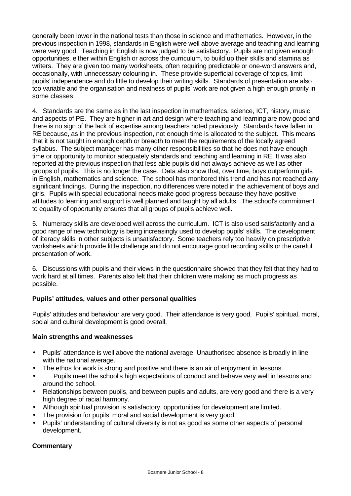generally been lower in the national tests than those in science and mathematics. However, in the previous inspection in 1998, standards in English were well above average and teaching and learning were very good. Teaching in English is now judged to be satisfactory. Pupils are not given enough opportunities, either within English or across the curriculum, to build up their skills and stamina as writers. They are given too many worksheets, often requiring predictable or one-word answers and, occasionally, with unnecessary colouring in. These provide superficial coverage of topics, limit pupils' independence and do little to develop their writing skills. Standards of presentation are also too variable and the organisation and neatness of pupils' work are not given a high enough priority in some classes.

4. Standards are the same as in the last inspection in mathematics, science, ICT, history, music and aspects of PE. They are higher in art and design where teaching and learning are now good and there is no sign of the lack of expertise among teachers noted previously. Standards have fallen in RE because, as in the previous inspection, not enough time is allocated to the subject. This means that it is not taught in enough depth or breadth to meet the requirements of the locally agreed syllabus. The subject manager has many other responsibilities so that he does not have enough time or opportunity to monitor adequately standards and teaching and learning in RE. It was also reported at the previous inspection that less able pupils did not always achieve as well as other groups of pupils. This is no longer the case. Data also show that, over time, boys outperform girls in English, mathematics and science. The school has monitored this trend and has not reached any significant findings. During the inspection, no differences were noted in the achievement of boys and girls. Pupils with special educational needs make good progress because they have positive attitudes to learning and support is well planned and taught by all adults. The school's commitment to equality of opportunity ensures that all groups of pupils achieve well.

5. Numeracy skills are developed well across the curriculum. ICT is also used satisfactorily and a good range of new technology is being increasingly used to develop pupils' skills. The development of literacy skills in other subjects is unsatisfactory. Some teachers rely too heavily on prescriptive worksheets which provide little challenge and do not encourage good recording skills or the careful presentation of work.

6. Discussions with pupils and their views in the questionnaire showed that they felt that they had to work hard at all times. Parents also felt that their children were making as much progress as possible.

# **Pupils' attitudes, values and other personal qualities**

Pupils' attitudes and behaviour are very good. Their attendance is very good. Pupils' spiritual, moral, social and cultural development is good overall.

## **Main strengths and weaknesses**

- Pupils' attendance is well above the national average. Unauthorised absence is broadly in line with the national average.
- The ethos for work is strong and positive and there is an air of enjoyment in lessons.
- Pupils meet the school's high expectations of conduct and behave very well in lessons and around the school.
- Relationships between pupils, and between pupils and adults, are very good and there is a very high degree of racial harmony.
- Although spiritual provision is satisfactory, opportunities for development are limited.
- The provision for pupils' moral and social development is very good.
- Pupils' understanding of cultural diversity is not as good as some other aspects of personal development.

# **Commentary**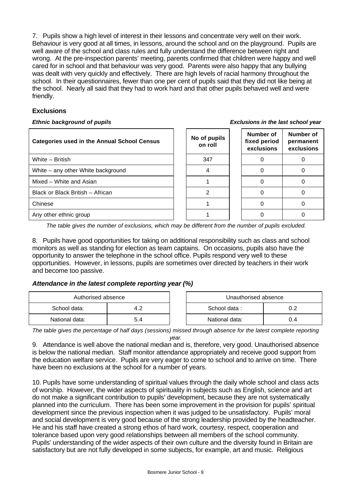7. Pupils show a high level of interest in their lessons and concentrate very well on their work. Behaviour is very good at all times, in lessons, around the school and on the playground. Pupils are well aware of the school and class rules and fully understand the difference between right and wrong. At the pre-inspection parents' meeting, parents confirmed that children were happy and well cared for in school and that behaviour was very good. Parents were also happy that any bullying was dealt with very quickly and effectively. There are high levels of racial harmony throughout the school. In their questionnaires, fewer than one per cent of pupils said that they did not like being at the school. Nearly all said that they had to work hard and that other pupils behaved well and were friendly.

# **Exclusions**

#### *Ethnic background of pupils Exclusions in the last school year*

| <b>Categories used in the Annual School Census</b> | No of pupils<br>on roll | Number of<br>fixed period<br>exclusions | Number of<br>permanent<br>exclusions |
|----------------------------------------------------|-------------------------|-----------------------------------------|--------------------------------------|
| White - British                                    | 347                     |                                         |                                      |
| White – any other White background                 |                         |                                         |                                      |
| Mixed – White and Asian                            |                         |                                         |                                      |
| Black or Black British - African                   |                         |                                         |                                      |
| Chinese                                            |                         |                                         |                                      |
| Any other ethnic group                             |                         |                                         |                                      |

*The table gives the number of exclusions, which may be different from the number of pupils excluded.*

8. Pupils have good opportunities for taking on additional responsibility such as class and school monitors as well as standing for election as team captains. On occasions, pupils also have the opportunity to answer the telephone in the school office. Pupils respond very well to these opportunities. However, in lessons, pupils are sometimes over directed by teachers in their work and become too passive.

# *Attendance in the latest complete reporting year (%)*

| Authorised absence |     | Unauthorised absence |     |
|--------------------|-----|----------------------|-----|
| School data:       |     | School data:         | 0.2 |
| National data:     | 5.4 | National data:       | J.4 |

*The table gives the percentage of half days (sessions) missed through absence for the latest complete reporting year.*

9. Attendance is well above the national median and is, therefore, very good. Unauthorised absence is below the national median. Staff monitor attendance appropriately and receive good support from the education welfare service. Pupils are very eager to come to school and to arrive on time. There have been no exclusions at the school for a number of years.

10. Pupils have some understanding of spiritual values through the daily whole school and class acts of worship. However, the wider aspects of spirituality in subjects such as English, science and art do not make a significant contribution to pupils' development, because they are not systematically planned into the curriculum. There has been some improvement in the provision for pupils' spiritual development since the previous inspection when it was judged to be unsatisfactory. Pupils' moral and social development is very good because of the strong leadership provided by the headteacher. He and his staff have created a strong ethos of hard work, courtesy, respect, cooperation and tolerance based upon very good relationships between all members of the school community. Pupils' understanding of the wider aspects of their own culture and the diversity found in Britain are satisfactory but are not fully developed in some subjects, for example, art and music. Religious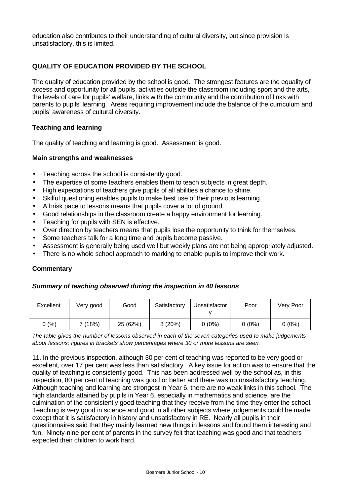education also contributes to their understanding of cultural diversity, but since provision is unsatisfactory, this is limited.

# **QUALITY OF EDUCATION PROVIDED BY THE SCHOOL**

The quality of education provided by the school is good. The strongest features are the equality of access and opportunity for all pupils, activities outside the classroom including sport and the arts, the levels of care for pupils' welfare, links with the community and the contribution of links with parents to pupils' learning. Areas requiring improvement include the balance of the curriculum and pupils' awareness of cultural diversity.

#### **Teaching and learning**

The quality of teaching and learning is good. Assessment is good.

#### **Main strengths and weaknesses**

- Teaching across the school is consistently good.
- The expertise of some teachers enables them to teach subjects in great depth.
- High expectations of teachers give pupils of all abilities a chance to shine.
- Skilful questioning enables pupils to make best use of their previous learning.
- A brisk pace to lessons means that pupils cover a lot of ground.
- Good relationships in the classroom create a happy environment for learning.
- Teaching for pupils with SEN is effective.
- Over direction by teachers means that pupils lose the opportunity to think for themselves.
- Some teachers talk for a long time and pupils become passive.
- Assessment is generally being used well but weekly plans are not being appropriately adjusted.
- There is no whole school approach to marking to enable pupils to improve their work.

## **Commentary**

## *Summary of teaching observed during the inspection in 40 lessons*

| Excellent | Very good | Good     | Satisfactory | Unsatisfactor | Poor     | Very Poor |
|-----------|-----------|----------|--------------|---------------|----------|-----------|
| 0(%)      | 7 (18%)   | 25 (62%) | 8(20%)       | $0(0\%)$      | $0(0\%)$ | $0(0\%)$  |

*The table gives the number of lessons observed in each of the seven categories used to make judgements about lessons; figures in brackets show percentages where 30 or more lessons are seen.*

11. In the previous inspection, although 30 per cent of teaching was reported to be very good or excellent, over 17 per cent was less than satisfactory. A key issue for action was to ensure that the quality of teaching is consistently good. This has been addressed well by the school as, in this inspection, 80 per cent of teaching was good or better and there was no unsatisfactory teaching. Although teaching and learning are strongest in Year 6, there are no weak links in this school. The high standards attained by pupils in Year 6, especially in mathematics and science, are the culmination of the consistently good teaching that they receive from the time they enter the school. Teaching is very good in science and good in all other subjects where judgements could be made except that it is satisfactory in history and unsatisfactory in RE. Nearly all pupils in their questionnaires said that they mainly learned new things in lessons and found them interesting and fun. Ninety-nine per cent of parents in the survey felt that teaching was good and that teachers expected their children to work hard.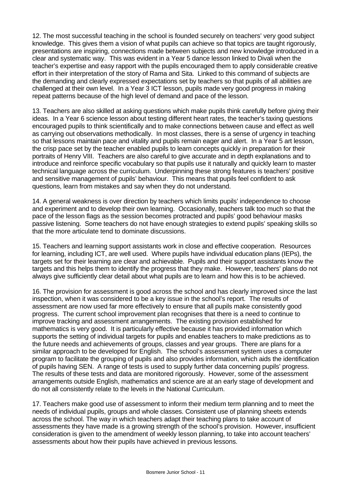12. The most successful teaching in the school is founded securely on teachers' very good subject knowledge. This gives them a vision of what pupils can achieve so that topics are taught rigorously, presentations are inspiring, connections made between subjects and new knowledge introduced in a clear and systematic way. This was evident in a Year 5 dance lesson linked to Divali when the teacher's expertise and easy rapport with the pupils encouraged them to apply considerable creative effort in their interpretation of the story of Rama and Sita. Linked to this command of subjects are the demanding and clearly expressed expectations set by teachers so that pupils of all abilities are challenged at their own level. In a Year 3 ICT lesson, pupils made very good progress in making repeat patterns because of the high level of demand and pace of the lesson.

13. Teachers are also skilled at asking questions which make pupils think carefully before giving their ideas. In a Year 6 science lesson about testing different heart rates, the teacher's taxing questions encouraged pupils to think scientifically and to make connections between cause and effect as well as carrying out observations methodically. In most classes, there is a sense of urgency in teaching so that lessons maintain pace and vitality and pupils remain eager and alert. In a Year 5 art lesson, the crisp pace set by the teacher enabled pupils to learn concepts quickly in preparation for their portraits of Henry VIII. Teachers are also careful to give accurate and in depth explanations and to introduce and reinforce specific vocabulary so that pupils use it naturally and quickly learn to master technical language across the curriculum. Underpinning these strong features is teachers' positive and sensitive management of pupils' behaviour. This means that pupils feel confident to ask questions, learn from mistakes and say when they do not understand.

14. A general weakness is over direction by teachers which limits pupils' independence to choose and experiment and to develop their own learning. Occasionally, teachers talk too much so that the pace of the lesson flags as the session becomes protracted and pupils' good behaviour masks passive listening. Some teachers do not have enough strategies to extend pupils' speaking skills so that the more articulate tend to dominate discussions.

15. Teachers and learning support assistants work in close and effective cooperation. Resources for learning, including ICT, are well used. Where pupils have individual education plans (IEPs), the targets set for their learning are clear and achievable. Pupils and their support assistants know the targets and this helps them to identify the progress that they make. However, teachers' plans do not always give sufficiently clear detail about what pupils are to learn and how this is to be achieved.

16. The provision for assessment is good across the school and has clearly improved since the last inspection, when it was considered to be a key issue in the school's report. The results of assessment are now used far more effectively to ensure that all pupils make consistently good progress. The current school improvement plan recognises that there is a need to continue to improve tracking and assessment arrangements. The existing provision established for mathematics is very good. It is particularly effective because it has provided information which supports the setting of individual targets for pupils and enables teachers to make predictions as to the future needs and achievements of groups, classes and year groups. There are plans for a similar approach to be developed for English. The school's assessment system uses a computer program to facilitate the grouping of pupils and also provides information, which aids the identification of pupils having SEN. A range of tests is used to supply further data concerning pupils' progress. The results of these tests and data are monitored rigorously. However, some of the assessment arrangements outside English, mathematics and science are at an early stage of development and do not all consistently relate to the levels in the National Curriculum.

17. Teachers make good use of assessment to inform their medium term planning and to meet the needs of individual pupils, groups and whole classes. Consistent use of planning sheets extends across the school. The way in which teachers adapt their teaching plans to take account of assessments they have made is a growing strength of the school's provision. However, insufficient consideration is given to the amendment of weekly lesson planning, to take into account teachers' assessments about how their pupils have achieved in previous lessons.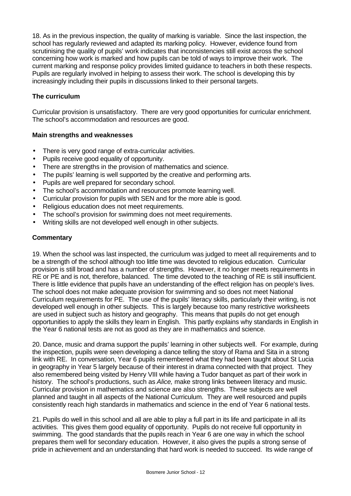18. As in the previous inspection, the quality of marking is variable. Since the last inspection, the school has regularly reviewed and adapted its marking policy. However, evidence found from scrutinising the quality of pupils' work indicates that inconsistencies still exist across the school concerning how work is marked and how pupils can be told of ways to improve their work. The current marking and response policy provides limited guidance to teachers in both these respects. Pupils are regularly involved in helping to assess their work. The school is developing this by increasingly including their pupils in discussions linked to their personal targets.

# **The curriculum**

Curricular provision is unsatisfactory. There are very good opportunities for curricular enrichment. The school's accommodation and resources are good.

## **Main strengths and weaknesses**

- There is very good range of extra-curricular activities.
- Pupils receive good equality of opportunity.
- There are strengths in the provision of mathematics and science.
- The pupils' learning is well supported by the creative and performing arts.
- Pupils are well prepared for secondary school.
- The school's accommodation and resources promote learning well.
- Curricular provision for pupils with SEN and for the more able is good.
- Religious education does not meet requirements.
- The school's provision for swimming does not meet requirements.
- Writing skills are not developed well enough in other subjects.

## **Commentary**

19. When the school was last inspected, the curriculum was judged to meet all requirements and to be a strength of the school although too little time was devoted to religious education. Curricular provision is still broad and has a number of strengths. However, it no longer meets requirements in RE or PE and is not, therefore, balanced. The time devoted to the teaching of RE is still insufficient. There is little evidence that pupils have an understanding of the effect religion has on people's lives. The school does not make adequate provision for swimming and so does not meet National Curriculum requirements for PE. The use of the pupils' literacy skills, particularly their writing, is not developed well enough in other subjects. This is largely because too many restrictive worksheets are used in subject such as history and geography. This means that pupils do not get enough opportunities to apply the skills they learn in English. This partly explains why standards in English in the Year 6 national tests are not as good as they are in mathematics and science.

20. Dance, music and drama support the pupils' learning in other subjects well. For example, during the inspection, pupils were seen developing a dance telling the story of Rama and Sita in a strong link with RE. In conversation, Year 6 pupils remembered what they had been taught about St Lucia in geography in Year 5 largely because of their interest in drama connected with that project. They also remembered being visited by Henry VIII while having a Tudor banquet as part of their work in history. The school's productions, such as *Alice,* make strong links between literacy and music. Curricular provision in mathematics and science are also strengths. These subjects are well planned and taught in all aspects of the National Curriculum. They are well resourced and pupils consistently reach high standards in mathematics and science in the end of Year 6 national tests.

21. Pupils do well in this school and all are able to play a full part in its life and participate in all its activities. This gives them good equality of opportunity. Pupils do not receive full opportunity in swimming. The good standards that the pupils reach in Year 6 are one way in which the school prepares them well for secondary education. However, it also gives the pupils a strong sense of pride in achievement and an understanding that hard work is needed to succeed. Its wide range of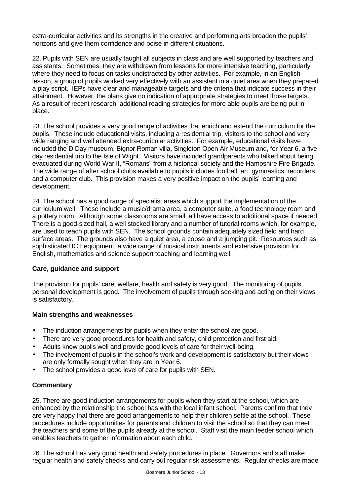extra-curricular activities and its strengths in the creative and performing arts broaden the pupils' horizons and give them confidence and poise in different situations.

22. Pupils with SEN are usually taught all subjects in class and are well supported by teachers and assistants. Sometimes, they are withdrawn from lessons for more intensive teaching, particularly where they need to focus on tasks undistracted by other activities. For example, in an English lesson, a group of pupils worked very effectively with an assistant in a quiet area when they prepared a play script. IEPs have clear and manageable targets and the criteria that indicate success in their attainment. However, the plans give no indication of appropriate strategies to meet those targets. As a result of recent research, additional reading strategies for more able pupils are being put in place.

23. The school provides a very good range of activities that enrich and extend the curriculum for the pupils. These include educational visits, including a residential trip, visitors to the school and very wide ranging and well attended extra-curricular activities. For example, educational visits have included the D Day museum, Bignor Roman villa, Singleton Open Air Museum and, for Year 6, a five day residential trip to the Isle of Wight. Visitors have included grandparents who talked about being evacuated during World War II, "Romans" from a historical society and the Hampshire Fire Brigade. The wide range of after school clubs available to pupils includes football, art, gymnastics, recorders and a computer club. This provision makes a very positive impact on the pupils' learning and development.

24. The school has a good range of specialist areas which support the implementation of the curriculum well. These include a music/drama area, a computer suite, a food technology room and a pottery room. Although some classrooms are small, all have access to additional space if needed. There is a good-sized hall, a well stocked library and a number of tutorial rooms which, for example, are used to teach pupils with SEN. The school grounds contain adequately sized field and hard surface areas. The grounds also have a quiet area, a copse and a jumping pit. Resources such as sophisticated ICT equipment, a wide range of musical instruments and extensive provision for English, mathematics and science support teaching and learning well.

## **Care, guidance and support**

The provision for pupils' care, welfare, health and safety is very good. The monitoring of pupils' personal development is good. The involvement of pupils through seeking and acting on their views is satisfactory.

## **Main strengths and weaknesses**

- The induction arrangements for pupils when they enter the school are good.
- There are very good procedures for health and safety, child protection and first aid.
- Adults know pupils well and provide good levels of care for their well-being.
- The involvement of pupils in the school's work and development is satisfactory but their views are only formally sought when they are in Year 6.
- The school provides a good level of care for pupils with SEN.

## **Commentary**

25. There are good induction arrangements for pupils when they start at the school, which are enhanced by the relationship the school has with the local infant school. Parents confirm that they are very happy that there are good arrangements to help their children settle at the school. These procedures include opportunities for parents and children to visit the school so that they can meet the teachers and some of the pupils already at the school. Staff visit the main feeder school which enables teachers to gather information about each child.

26. The school has very good health and safety procedures in place. Governors and staff make regular health and safety checks and carry out regular risk assessments. Regular checks are made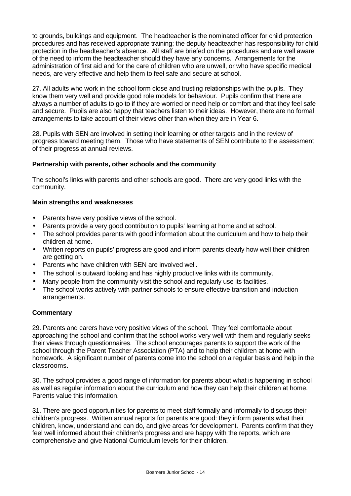to grounds, buildings and equipment. The headteacher is the nominated officer for child protection procedures and has received appropriate training; the deputy headteacher has responsibility for child protection in the headteacher's absence. All staff are briefed on the procedures and are well aware of the need to inform the headteacher should they have any concerns. Arrangements for the administration of first aid and for the care of children who are unwell, or who have specific medical needs, are very effective and help them to feel safe and secure at school.

27. All adults who work in the school form close and trusting relationships with the pupils. They know them very well and provide good role models for behaviour. Pupils confirm that there are always a number of adults to go to if they are worried or need help or comfort and that they feel safe and secure. Pupils are also happy that teachers listen to their ideas. However, there are no formal arrangements to take account of their views other than when they are in Year 6.

28. Pupils with SEN are involved in setting their learning or other targets and in the review of progress toward meeting them. Those who have statements of SEN contribute to the assessment of their progress at annual reviews.

## **Partnership with parents, other schools and the community**

The school's links with parents and other schools are good. There are very good links with the community.

## **Main strengths and weaknesses**

- Parents have very positive views of the school.
- Parents provide a very good contribution to pupils' learning at home and at school.
- The school provides parents with good information about the curriculum and how to help their children at home.
- Written reports on pupils' progress are good and inform parents clearly how well their children are getting on.
- Parents who have children with SEN are involved well.
- The school is outward looking and has highly productive links with its community.
- Many people from the community visit the school and regularly use its facilities.
- The school works actively with partner schools to ensure effective transition and induction arrangements.

## **Commentary**

29. Parents and carers have very positive views of the school. They feel comfortable about approaching the school and confirm that the school works very well with them and regularly seeks their views through questionnaires. The school encourages parents to support the work of the school through the Parent Teacher Association (PTA) and to help their children at home with homework. A significant number of parents come into the school on a regular basis and help in the classrooms.

30. The school provides a good range of information for parents about what is happening in school as well as regular information about the curriculum and how they can help their children at home. Parents value this information.

31. There are good opportunities for parents to meet staff formally and informally to discuss their children's progress. Written annual reports for parents are good: they inform parents what their children, know, understand and can do, and give areas for development. Parents confirm that they feel well informed about their children's progress and are happy with the reports, which are comprehensive and give National Curriculum levels for their children.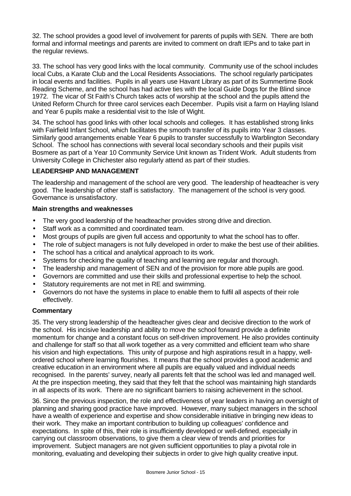32. The school provides a good level of involvement for parents of pupils with SEN. There are both formal and informal meetings and parents are invited to comment on draft IEPs and to take part in the regular reviews.

33. The school has very good links with the local community. Community use of the school includes local Cubs, a Karate Club and the Local Residents Associations. The school regularly participates in local events and facilities. Pupils in all years use Havant Library as part of its Summertime Book Reading Scheme, and the school has had active ties with the local Guide Dogs for the Blind since 1972. The vicar of St Faith's Church takes acts of worship at the school and the pupils attend the United Reform Church for three carol services each December. Pupils visit a farm on Hayling Island and Year 6 pupils make a residential visit to the Isle of Wight.

34. The school has good links with other local schools and colleges. It has established strong links with Fairfield Infant School, which facilitates the smooth transfer of its pupils into Year 3 classes. Similarly good arrangements enable Year 6 pupils to transfer successfully to Warblington Secondary School. The school has connections with several local secondary schools and their pupils visit Bosmere as part of a Year 10 Community Service Unit known as Trident Work. Adult students from University College in Chichester also regularly attend as part of their studies.

## **LEADERSHIP AND MANAGEMENT**

The leadership and management of the school are very good. The leadership of headteacher is very good. The leadership of other staff is satisfactory. The management of the school is very good. Governance is unsatisfactory.

## **Main strengths and weaknesses**

- The very good leadership of the headteacher provides strong drive and direction.
- Staff work as a committed and coordinated team.
- Most groups of pupils are given full access and opportunity to what the school has to offer.
- The role of subject managers is not fully developed in order to make the best use of their abilities.
- The school has a critical and analytical approach to its work.
- Systems for checking the quality of teaching and learning are regular and thorough.
- The leadership and management of SEN and of the provision for more able pupils are good.
- Governors are committed and use their skills and professional expertise to help the school.
- Statutory requirements are not met in RE and swimming.
- Governors do not have the systems in place to enable them to fulfil all aspects of their role effectively.

## **Commentary**

35. The very strong leadership of the headteacher gives clear and decisive direction to the work of the school. His incisive leadership and ability to move the school forward provide a definite momentum for change and a constant focus on self-driven improvement. He also provides continuity and challenge for staff so that all work together as a very committed and efficient team who share his vision and high expectations. This unity of purpose and high aspirations result in a happy, wellordered school where learning flourishes. It means that the school provides a good academic and creative education in an environment where all pupils are equally valued and individual needs recognised. In the parents' survey, nearly all parents felt that the school was led and managed well. At the pre inspection meeting, they said that they felt that the school was maintaining high standards in all aspects of its work. There are no significant barriers to raising achievement in the school.

36. Since the previous inspection, the role and effectiveness of year leaders in having an oversight of planning and sharing good practice have improved. However, many subject managers in the school have a wealth of experience and expertise and show considerable initiative in bringing new ideas to their work. They make an important contribution to building up colleagues' confidence and expectations. In spite of this, their role is insufficiently developed or well-defined, especially in carrying out classroom observations, to give them a clear view of trends and priorities for improvement. Subject managers are not given sufficient opportunities to play a pivotal role in monitoring, evaluating and developing their subjects in order to give high quality creative input.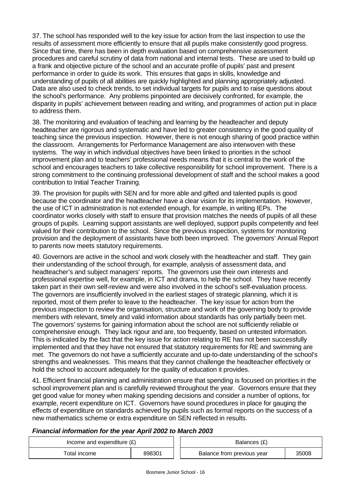37. The school has responded well to the key issue for action from the last inspection to use the results of assessment more efficiently to ensure that all pupils make consistently good progress. Since that time, there has been in depth evaluation based on comprehensive assessment procedures and careful scrutiny of data from national and internal tests. These are used to build up a frank and objective picture of the school and an accurate profile of pupils' past and present performance in order to guide its work. This ensures that gaps in skills, knowledge and understanding of pupils of all abilities are quickly highlighted and planning appropriately adjusted. Data are also used to check trends, to set individual targets for pupils and to raise questions about the school's performance. Any problems pinpointed are decisively confronted, for example, the disparity in pupils' achievement between reading and writing, and programmes of action put in place to address them.

38. The monitoring and evaluation of teaching and learning by the headteacher and deputy headteacher are rigorous and systematic and have led to greater consistency in the good quality of teaching since the previous inspection. However, there is not enough sharing of good practice within the classroom. Arrangements for Performance Management are also interwoven with these systems. The way in which individual objectives have been linked to priorities in the school improvement plan and to teachers' professional needs means that it is central to the work of the school and encourages teachers to take collective responsibility for school improvement. There is a strong commitment to the continuing professional development of staff and the school makes a good contribution to Initial Teacher Training.

39. The provision for pupils with SEN and for more able and gifted and talented pupils is good because the coordinator and the headteacher have a clear vision for its implementation. However, the use of ICT in administration is not extended enough, for example, in writing IEPs. The coordinator works closely with staff to ensure that provision matches the needs of pupils of all these groups of pupils. Learning support assistants are well deployed, support pupils competently and feel valued for their contribution to the school. Since the previous inspection, systems for monitoring provision and the deployment of assistants have both been improved. The governors' Annual Report to parents now meets statutory requirements.

40. Governors are active in the school and work closely with the headteacher and staff. They gain their understanding of the school through, for example, analysis of assessment data, and headteacher's and subject managers' reports. The governors use their own interests and professional expertise well, for example, in ICT and drama, to help the school. They have recently taken part in their own self-review and were also involved in the school's self-evaluation process. The governors are insufficiently involved in the earliest stages of strategic planning, which it is reported, most of them prefer to leave to the headteacher. The key issue for action from the previous inspection to review the organisation, structure and work of the governing body to provide members with relevant, timely and valid information about standards has only partially been met. The governors' systems for gaining information about the school are not sufficiently reliable or comprehensive enough. They lack rigour and are, too frequently, based on untested information. This is indicated by the fact that the key issue for action relating to RE has not been successfully implemented and that they have not ensured that statutory requirements for RE and swimming are met. The governors do not have a sufficiently accurate and up-to-date understanding of the school's strengths and weaknesses. This means that they cannot challenge the headteacher effectively or hold the school to account adequately for the quality of education it provides.

41. Efficient financial planning and administration ensure that spending is focused on priorities in the school improvement plan and is carefully reviewed throughout the year. Governors ensure that they get good value for money when making spending decisions and consider a number of options, for example, recent expenditure on ICT. Governors have sound procedures in place for gauging the effects of expenditure on standards achieved by pupils such as formal reports on the success of a new mathematics scheme or extra expenditure on SEN reflected in results.

# *Financial information for the year April 2002 to March 2003*

| Income and expenditure $(E)$ |        | Balances (£)               |       |
|------------------------------|--------|----------------------------|-------|
| Total income                 | 898301 | Balance from previous year | 35008 |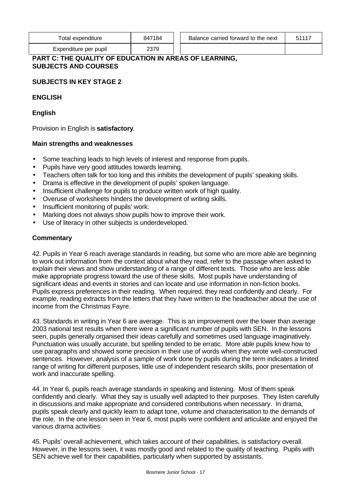| Total expenditure     | 847184 | Balance carried forward to the next | E4447 |
|-----------------------|--------|-------------------------------------|-------|
| Expenditure per pupil | 2379   |                                     |       |

# **PART C: THE QUALITY OF EDUCATION IN AREAS OF LEARNING, SUBJECTS AND COURSES**

# **SUBJECTS IN KEY STAGE 2**

## **ENGLISH**

**English**

Provision in English is **satisfactory**.

## **Main strengths and weaknesses**

- Some teaching leads to high levels of interest and response from pupils.
- Pupils have very good attitudes towards learning.
- Teachers often talk for too long and this inhibits the development of pupils' speaking skills.
- Drama is effective in the development of pupils' spoken language.
- Insufficient challenge for pupils to produce written work of high quality.
- Overuse of worksheets hinders the development of writing skills.
- Insufficient monitoring of pupils' work.
- Marking does not always show pupils how to improve their work.
- Use of literacy in other subjects is underdeveloped.

## **Commentary**

42. Pupils in Year 6 reach average standards in reading, but some who are more able are beginning to work out information from the context about what they read, refer to the passage when asked to explain their views and show understanding of a range of different texts. Those who are less able make appropriate progress toward the use of these skills. Most pupils have understanding of significant ideas and events in stories and can locate and use information in non-fiction books. Pupils express preferences in their reading. When required, they read confidently and clearly. For example, reading extracts from the letters that they have written to the headteacher about the use of income from the Christmas Fayre.

43. Standards in writing in Year 6 are average. This is an improvement over the lower than average 2003 national test results when there were a significant number of pupils with SEN. In the lessons seen, pupils generally organised their ideas carefully and sometimes used language imaginatively. Punctuation was usually accurate, but spelling tended to be erratic. More able pupils knew how to use paragraphs and showed some precision in their use of words when they wrote well-constructed sentences. However, analysis of a sample of work done by pupils during the term indicates a limited range of writing for different purposes, little use of independent research skills, poor presentation of work and inaccurate spelling.

44. In Year 6, pupils reach average standards in speaking and listening. Most of them speak confidently and clearly. What they say is usually well adapted to their purposes. They listen carefully in discussions and make appropriate and considered contributions when necessary. In drama, pupils speak clearly and quickly learn to adapt tone, volume and characterisation to the demands of the role. In the one lesson seen in Year 6, most pupils were confident and articulate and enjoyed the various drama activities.

45. Pupils' overall achievement, which takes account of their capabilities, is satisfactory overall. However, in the lessons seen, it was mostly good and related to the quality of teaching. Pupils with SEN achieve well for their capabilities, particularly when supported by assistants.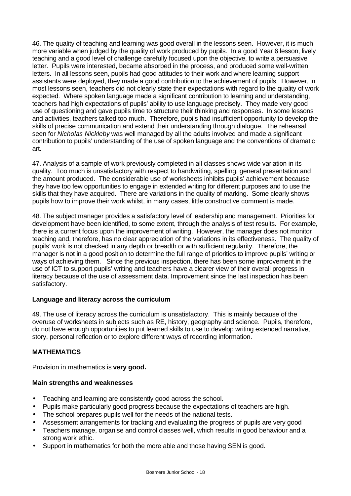46. The quality of teaching and learning was good overall in the lessons seen. However, it is much more variable when judged by the quality of work produced by pupils. In a good Year 6 lesson, lively teaching and a good level of challenge carefully focused upon the objective, to write a persuasive letter. Pupils were interested, became absorbed in the process, and produced some well-written letters. In all lessons seen, pupils had good attitudes to their work and where learning support assistants were deployed, they made a good contribution to the achievement of pupils. However, in most lessons seen, teachers did not clearly state their expectations with regard to the quality of work expected. Where spoken language made a significant contribution to learning and understanding, teachers had high expectations of pupils' ability to use language precisely. They made very good use of questioning and gave pupils time to structure their thinking and responses. In some lessons and activities, teachers talked too much. Therefore, pupils had insufficient opportunity to develop the skills of precise communication and extend their understanding through dialogue. The rehearsal seen for *Nicholas Nickleby* was well managed by all the adults involved and made a significant contribution to pupils' understanding of the use of spoken language and the conventions of dramatic art.

47. Analysis of a sample of work previously completed in all classes shows wide variation in its quality. Too much is unsatisfactory with respect to handwriting, spelling, general presentation and the amount produced. The considerable use of worksheets inhibits pupils' achievement because they have too few opportunities to engage in extended writing for different purposes and to use the skills that they have acquired. There are variations in the quality of marking. Some clearly shows pupils how to improve their work whilst, in many cases, little constructive comment is made.

48. The subject manager provides a satisfactory level of leadership and management. Priorities for development have been identified, to some extent, through the analysis of test results. For example, there is a current focus upon the improvement of writing. However, the manager does not monitor teaching and, therefore, has no clear appreciation of the variations in its effectiveness. The quality of pupils' work is not checked in any depth or breadth or with sufficient regularity. Therefore, the manager is not in a good position to determine the full range of priorities to improve pupils' writing or ways of achieving them. Since the previous inspection, there has been some improvement in the use of ICT to support pupils' writing and teachers have a clearer view of their overall progress in literacy because of the use of assessment data. Improvement since the last inspection has been satisfactory.

# **Language and literacy across the curriculum**

49. The use of literacy across the curriculum is unsatisfactory. This is mainly because of the overuse of worksheets in subjects such as RE, history, geography and science. Pupils, therefore, do not have enough opportunities to put learned skills to use to develop writing extended narrative, story, personal reflection or to explore different ways of recording information.

# **MATHEMATICS**

Provision in mathematics is **very good.**

## **Main strengths and weaknesses**

- Teaching and learning are consistently good across the school.
- Pupils make particularly good progress because the expectations of teachers are high.
- The school prepares pupils well for the needs of the national tests.
- Assessment arrangements for tracking and evaluating the progress of pupils are very good
- Teachers manage, organise and control classes well, which results in good behaviour and a strong work ethic.
- Support in mathematics for both the more able and those having SEN is good.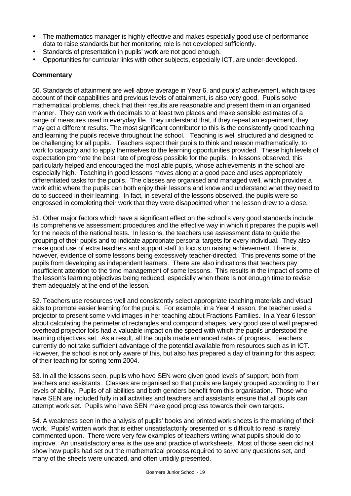- The mathematics manager is highly effective and makes especially good use of performance data to raise standards but her monitoring role is not developed sufficiently.
- Standards of presentation in pupils' work are not good enough.
- Opportunities for curricular links with other subjects, especially ICT, are under-developed.

# **Commentary**

50. Standards of attainment are well above average in Year 6, and pupils' achievement, which takes account of their capabilities and previous levels of attainment, is also very good. Pupils solve mathematical problems, check that their results are reasonable and present them in an organised manner. They can work with decimals to at least two places and make sensible estimates of a range of measures used in everyday life. They understand that, if they repeat an experiment, they may get a different results. The most significant contributor to this is the consistently good teaching and learning the pupils receive throughout the school. Teaching is well structured and designed to be challenging for all pupils. Teachers expect their pupils to think and reason mathematically, to work to capacity and to apply themselves to the learning opportunities provided. These high levels of expectation promote the best rate of progress possible for the pupils. In lessons observed, this particularly helped and encouraged the most able pupils, whose achievements in the school are especially high. Teaching in good lessons moves along at a good pace and uses appropriately differentiated tasks for the pupils. The classes are organised and managed well, which provides a work ethic where the pupils can both enjoy their lessons and know and understand what they need to do to succeed in their learning. In fact, in several of the lessons observed, the pupils were so engrossed in completing their work that they were disappointed when the lesson drew to a close.

51. Other major factors which have a significant effect on the school's very good standards include its comprehensive assessment procedures and the effective way in which it prepares the pupils well for the needs of the national tests. In lessons, the teachers use assessment data to guide the grouping of their pupils and to indicate appropriate personal targets for every individual. They also make good use of extra teachers and support staff to focus on raising achievement. There is, however, evidence of some lessons being excessively teacher-directed. This prevents some of the pupils from developing as independent learners. There are also indications that teachers pay insufficient attention to the time management of some lessons. This results in the impact of some of the lesson's learning objectives being reduced, especially when there is not enough time to revise them adequately at the end of the lesson.

52. Teachers use resources well and consistently select appropriate teaching materials and visual aids to promote easier learning for the pupils. For example, in a Year 4 lesson, the teacher used a projector to present some vivid images in her teaching about Fractions Families. In a Year 6 lesson about calculating the perimeter of rectangles and compound shapes, very good use of well prepared overhead projector foils had a valuable impact on the speed with which the pupils understood the learning objectives set. As a result, all the pupils made enhanced rates of progress. Teachers currently do not take sufficient advantage of the potential available from resources such as in ICT. However, the school is not only aware of this, but also has prepared a day of training for this aspect of their teaching for spring term 2004.

53. In all the lessons seen, pupils who have SEN were given good levels of support, both from teachers and assistants. Classes are organised so that pupils are largely grouped according to their levels of ability. Pupils of all abilities and both genders benefit from this organisation. Those who have SEN are included fully in all activities and teachers and assistants ensure that all pupils can attempt work set. Pupils who have SEN make good progress towards their own targets.

54. A weakness seen in the analysis of pupils' books and printed work sheets is the marking of their work. Pupils' written work that is either unsatisfactorily presented or is difficult to read is rarely commented upon. There were very few examples of teachers writing what pupils should do to improve. An unsatisfactory area is the use and practice of worksheets. Most of those seen did not show how pupils had set out the mathematical process required to solve any questions set, and many of the sheets were undated, and often untidily presented.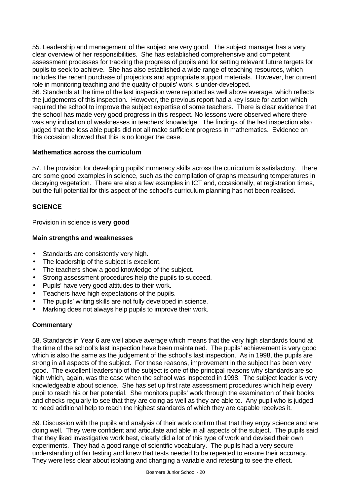55. Leadership and management of the subject are very good. The subject manager has a very clear overview of her responsibilities. She has established comprehensive and competent assessment processes for tracking the progress of pupils and for setting relevant future targets for pupils to seek to achieve. She has also established a wide range of teaching resources, which includes the recent purchase of projectors and appropriate support materials. However, her current role in monitoring teaching and the quality of pupils' work is under-developed.

56. Standards at the time of the last inspection were reported as well above average, which reflects the judgements of this inspection. However, the previous report had a key issue for action which required the school to improve the subject expertise of some teachers. There is clear evidence that the school has made very good progress in this respect. No lessons were observed where there was any indication of weaknesses in teachers' knowledge. The findings of the last inspection also judged that the less able pupils did not all make sufficient progress in mathematics. Evidence on this occasion showed that this is no longer the case.

## **Mathematics across the curriculum**

57. The provision for developing pupils' numeracy skills across the curriculum is satisfactory. There are some good examples in science, such as the compilation of graphs measuring temperatures in decaying vegetation. There are also a few examples in ICT and, occasionally, at registration times, but the full potential for this aspect of the school's curriculum planning has not been realised.

# **SCIENCE**

Provision in science is **very good**

## **Main strengths and weaknesses**

- Standards are consistently very high.
- The leadership of the subject is excellent.
- The teachers show a good knowledge of the subject.
- Strong assessment procedures help the pupils to succeed.
- Pupils' have very good attitudes to their work.
- Teachers have high expectations of the pupils.
- The pupils' writing skills are not fully developed in science.
- Marking does not always help pupils to improve their work.

# **Commentary**

58. Standards in Year 6 are well above average which means that the very high standards found at the time of the school's last inspection have been maintained. The pupils' achievement is very good which is also the same as the judgement of the school's last inspection. As in 1998, the pupils are strong in all aspects of the subject. For these reasons, improvement in the subject has been very good. The excellent leadership of the subject is one of the principal reasons why standards are so high which, again, was the case when the school was inspected in 1998. The subject leader is very knowledgeable about science. She has set up first rate assessment procedures which help every pupil to reach his or her potential. She monitors pupils' work through the examination of their books and checks regularly to see that they are doing as well as they are able to. Any pupil who is judged to need additional help to reach the highest standards of which they are capable receives it.

59. Discussion with the pupils and analysis of their work confirm that that they enjoy science and are doing well. They were confident and articulate and able in all aspects of the subject. The pupils said that they liked investigative work best, clearly did a lot of this type of work and devised their own experiments. They had a good range of scientific vocabulary. The pupils had a very secure understanding of fair testing and knew that tests needed to be repeated to ensure their accuracy. They were less clear about isolating and changing a variable and retesting to see the effect.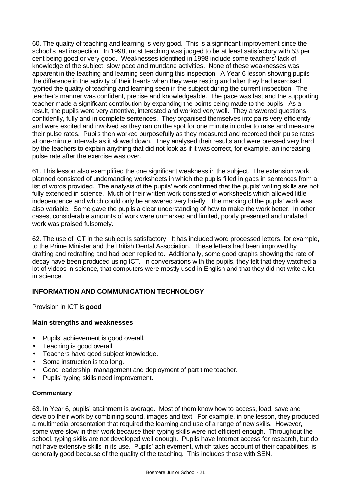60. The quality of teaching and learning is very good. This is a significant improvement since the school's last inspection. In 1998, most teaching was judged to be at least satisfactory with 53 per cent being good or very good. Weaknesses identified in 1998 include some teachers' lack of knowledge of the subject, slow pace and mundane activities. None of these weaknesses was apparent in the teaching and learning seen during this inspection. A Year 6 lesson showing pupils the difference in the activity of their hearts when they were resting and after they had exercised typified the quality of teaching and learning seen in the subject during the current inspection. The teacher's manner was confident, precise and knowledgeable. The pace was fast and the supporting teacher made a significant contribution by expanding the points being made to the pupils. As a result, the pupils were very attentive, interested and worked very well. They answered questions confidently, fully and in complete sentences. They organised themselves into pairs very efficiently and were excited and involved as they ran on the spot for one minute in order to raise and measure their pulse rates. Pupils then worked purposefully as they measured and recorded their pulse rates at one-minute intervals as it slowed down. They analysed their results and were pressed very hard by the teachers to explain anything that did not look as if it was correct, for example, an increasing pulse rate after the exercise was over.

61. This lesson also exemplified the one significant weakness in the subject. The extension work planned consisted of undemanding worksheets in which the pupils filled in gaps in sentences from a list of words provided. The analysis of the pupils' work confirmed that the pupils' writing skills are not fully extended in science. Much of their written work consisted of worksheets which allowed little independence and which could only be answered very briefly. The marking of the pupils' work was also variable. Some gave the pupils a clear understanding of how to make the work better. In other cases, considerable amounts of work were unmarked and limited, poorly presented and undated work was praised fulsomely.

62. The use of ICT in the subject is satisfactory. It has included word processed letters, for example, to the Prime Minister and the British Dental Association. These letters had been improved by drafting and redrafting and had been replied to. Additionally, some good graphs showing the rate of decay have been produced using ICT. In conversations with the pupils, they felt that they watched a lot of videos in science, that computers were mostly used in English and that they did not write a lot in science.

# **INFORMATION AND COMMUNICATION TECHNOLOGY**

Provision in ICT is **good**

# **Main strengths and weaknesses**

- Pupils' achievement is good overall.
- Teaching is good overall.
- Teachers have good subject knowledge.
- Some instruction is too long.
- Good leadership, management and deployment of part time teacher.
- Pupils' typing skills need improvement.

## **Commentary**

63. In Year 6, pupils' attainment is average. Most of them know how to access, load, save and develop their work by combining sound, images and text. For example, in one lesson, they produced a multimedia presentation that required the learning and use of a range of new skills. However, some were slow in their work because their typing skills were not efficient enough. Throughout the school, typing skills are not developed well enough. Pupils have Internet access for research, but do not have extensive skills in its use. Pupils' achievement, which takes account of their capabilities, is generally good because of the quality of the teaching. This includes those with SEN.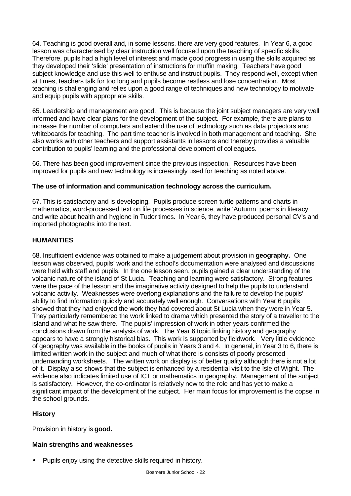64. Teaching is good overall and, in some lessons, there are very good features. In Year 6, a good lesson was characterised by clear instruction well focused upon the teaching of specific skills. Therefore, pupils had a high level of interest and made good progress in using the skills acquired as they developed their 'slide' presentation of instructions for muffin making. Teachers have good subject knowledge and use this well to enthuse and instruct pupils. They respond well, except when at times, teachers talk for too long and pupils become restless and lose concentration. Most teaching is challenging and relies upon a good range of techniques and new technology to motivate and equip pupils with appropriate skills.

65. Leadership and management are good. This is because the joint subject managers are very well informed and have clear plans for the development of the subject. For example, there are plans to increase the number of computers and extend the use of technology such as data projectors and whiteboards for teaching. The part time teacher is involved in both management and teaching. She also works with other teachers and support assistants in lessons and thereby provides a valuable contribution to pupils' learning and the professional development of colleagues.

66. There has been good improvement since the previous inspection. Resources have been improved for pupils and new technology is increasingly used for teaching as noted above.

## **The use of information and communication technology across the curriculum.**

67. This is satisfactory and is developing. Pupils produce screen turtle patterns and charts in mathematics, word-processed text on life processes in science, write 'Autumn' poems in literacy and write about health and hygiene in Tudor times. In Year 6, they have produced personal CV's and imported photographs into the text.

## **HUMANITIES**

68. Insufficient evidence was obtained to make a judgement about provision in **geography.** One lesson was observed, pupils' work and the school's documentation were analysed and discussions were held with staff and pupils. In the one lesson seen, pupils gained a clear understanding of the volcanic nature of the island of St Lucia. Teaching and learning were satisfactory. Strong features were the pace of the lesson and the imaginative activity designed to help the pupils to understand volcanic activity. Weaknesses were overlong explanations and the failure to develop the pupils' ability to find information quickly and accurately well enough. Conversations with Year 6 pupils showed that they had enjoyed the work they had covered about St Lucia when they were in Year 5. They particularly remembered the work linked to drama which presented the story of a traveller to the island and what he saw there. The pupils' impression of work in other years confirmed the conclusions drawn from the analysis of work. The Year 6 topic linking history and geography appears to have a strongly historical bias. This work is supported by fieldwork. Very little evidence of geography was available in the books of pupils in Years 3 and 4. In general, in Year 3 to 6, there is limited written work in the subject and much of what there is consists of poorly presented undemanding worksheets. The written work on display is of better quality although there is not a lot of it. Display also shows that the subject is enhanced by a residential visit to the Isle of Wight. The evidence also indicates limited use of ICT or mathematics in geography. Management of the subject is satisfactory. However, the co-ordinator is relatively new to the role and has yet to make a significant impact of the development of the subject. Her main focus for improvement is the copse in the school grounds.

# **History**

Provision in history is **good.**

# **Main strengths and weaknesses**

• Pupils enjoy using the detective skills required in history.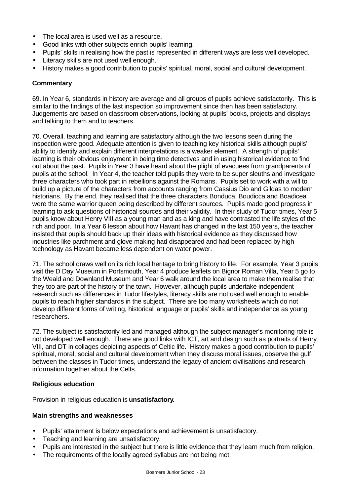- The local area is used well as a resource.
- Good links with other subjects enrich pupils' learning.
- Pupils' skills in realising how the past is represented in different ways are less well developed.
- Literacy skills are not used well enough.
- History makes a good contribution to pupils' spiritual, moral, social and cultural development.

# **Commentary**

69. In Year 6, standards in history are average and all groups of pupils achieve satisfactorily. This is similar to the findings of the last inspection so improvement since then has been satisfactory. Judgements are based on classroom observations, looking at pupils' books, projects and displays and talking to them and to teachers.

70. Overall, teaching and learning are satisfactory although the two lessons seen during the inspection were good. Adequate attention is given to teaching key historical skills although pupils' ability to identify and explain different interpretations is a weaker element. A strength of pupils' learning is their obvious enjoyment in being time detectives and in using historical evidence to find out about the past. Pupils in Year 3 have heard about the plight of evacuees from grandparents of pupils at the school. In Year 4, the teacher told pupils they were to be super sleuths and investigate three characters who took part in rebellions against the Romans. Pupils set to work with a will to build up a picture of the characters from accounts ranging from Cassius Dio and Gildas to modern historians. By the end, they realised that the three characters Bonduca, Boudicca and Boadicea were the same warrior queen being described by different sources. Pupils made good progress in learning to ask questions of historical sources and their validity. In their study of Tudor times, Year 5 pupils know about Henry VIII as a young man and as a king and have contrasted the life styles of the rich and poor. In a Year 6 lesson about how Havant has changed in the last 150 years, the teacher insisted that pupils should back up their ideas with historical evidence as they discussed how industries like parchment and glove making had disappeared and had been replaced by high technology as Havant became less dependent on water power.

71. The school draws well on its rich local heritage to bring history to life. For example, Year 3 pupils visit the D Day Museum in Portsmouth, Year 4 produce leaflets on Bignor Roman Villa, Year 5 go to the Weald and Downland Museum and Year 6 walk around the local area to make them realise that they too are part of the history of the town. However, although pupils undertake independent research such as differences in Tudor lifestyles, literacy skills are not used well enough to enable pupils to reach higher standards in the subject. There are too many worksheets which do not develop different forms of writing, historical language or pupils' skills and independence as young researchers.

72. The subject is satisfactorily led and managed although the subject manager's monitoring role is not developed well enough. There are good links with ICT, art and design such as portraits of Henry VIII, and DT in collages depicting aspects of Celtic life. History makes a good contribution to pupils' spiritual, moral, social and cultural development when they discuss moral issues, observe the gulf between the classes in Tudor times, understand the legacy of ancient civilisations and research information together about the Celts.

# **Religious education**

Provision in religious education is **unsatisfactory**.

## **Main strengths and weaknesses**

- Pupils' attainment is below expectations and achievement is unsatisfactory.
- Teaching and learning are unsatisfactory.
- Pupils are interested in the subject but there is little evidence that they learn much from religion.
- The requirements of the locally agreed syllabus are not being met.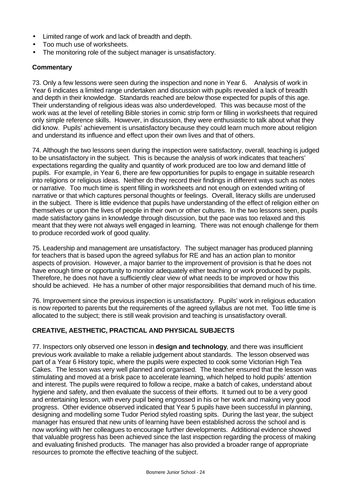- Limited range of work and lack of breadth and depth.
- Too much use of worksheets.
- The monitoring role of the subject manager is unsatisfactory.

## **Commentary**

73. Only a few lessons were seen during the inspection and none in Year 6. Analysis of work in Year 6 indicates a limited range undertaken and discussion with pupils revealed a lack of breadth and depth in their knowledge. Standards reached are below those expected for pupils of this age. Their understanding of religious ideas was also underdeveloped. This was because most of the work was at the level of retelling Bible stories in comic strip form or filling in worksheets that required only simple reference skills. However, in discussion, they were enthusiastic to talk about what they did know. Pupils' achievement is unsatisfactory because they could learn much more about religion and understand its influence and effect upon their own lives and that of others.

74. Although the two lessons seen during the inspection were satisfactory, overall, teaching is judged to be unsatisfactory in the subject. This is because the analysis of work indicates that teachers' expectations regarding the quality and quantity of work produced are too low and demand little of pupils. For example, in Year 6, there are few opportunities for pupils to engage in suitable research into religions or religious ideas. Neither do they record their findings in different ways such as notes or narrative. Too much time is spent filling in worksheets and not enough on extended writing of narrative or that which captures personal thoughts or feelings. Overall, literacy skills are underused in the subject. There is little evidence that pupils have understanding of the effect of religion either on themselves or upon the lives of people in their own or other cultures. In the two lessons seen, pupils made satisfactory gains in knowledge through discussion, but the pace was too relaxed and this meant that they were not always well engaged in learning. There was not enough challenge for them to produce recorded work of good quality.

75. Leadership and management are unsatisfactory. The subject manager has produced planning for teachers that is based upon the agreed syllabus for RE and has an action plan to monitor aspects of provision. However, a major barrier to the improvement of provision is that he does not have enough time or opportunity to monitor adequately either teaching or work produced by pupils. Therefore, he does not have a sufficiently clear view of what needs to be improved or how this should be achieved. He has a number of other major responsibilities that demand much of his time.

76. Improvement since the previous inspection is unsatisfactory. Pupils' work in religious education is now reported to parents but the requirements of the agreed syllabus are not met. Too little time is allocated to the subject; there is still weak provision and teaching is unsatisfactory overall.

# **CREATIVE, AESTHETIC, PRACTICAL AND PHYSICAL SUBJECTS**

77. Inspectors only observed one lesson in **design and technology**, and there was insufficient previous work available to make a reliable judgement about standards. The lesson observed was part of a Year 6 History topic, where the pupils were expected to cook some Victorian High Tea Cakes. The lesson was very well planned and organised. The teacher ensured that the lesson was stimulating and moved at a brisk pace to accelerate learning, which helped to hold pupils' attention and interest. The pupils were required to follow a recipe, make a batch of cakes, understand about hygiene and safety, and then evaluate the success of their efforts. It turned out to be a very good and entertaining lesson, with every pupil being engrossed in his or her work and making very good progress. Other evidence observed indicated that Year 5 pupils have been successful in planning, designing and modelling some Tudor Period styled roasting spits. During the last year, the subject manager has ensured that new units of learning have been established across the school and is now working with her colleagues to encourage further developments. Additional evidence showed that valuable progress has been achieved since the last inspection regarding the process of making and evaluating finished products. The manager has also provided a broader range of appropriate resources to promote the effective teaching of the subject.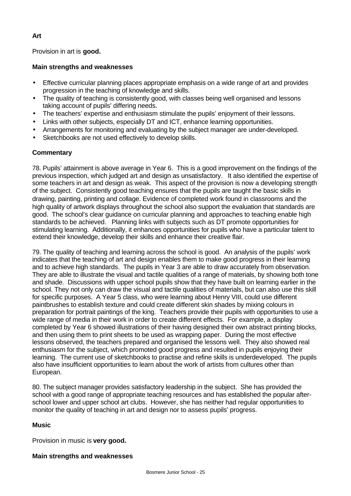# Provision in art is **good.**

## **Main strengths and weaknesses**

- Effective curricular planning places appropriate emphasis on a wide range of art and provides progression in the teaching of knowledge and skills.
- The quality of teaching is consistently good, with classes being well organised and lessons taking account of pupils' differing needs.
- The teachers' expertise and enthusiasm stimulate the pupils' enjoyment of their lessons.
- Links with other subjects, especially DT and ICT, enhance learning opportunities.
- Arrangements for monitoring and evaluating by the subject manager are under-developed.
- Sketchbooks are not used effectively to develop skills.

## **Commentary**

78. Pupils' attainment is above average in Year 6. This is a good improvement on the findings of the previous inspection, which judged art and design as unsatisfactory. It also identified the expertise of some teachers in art and design as weak. This aspect of the provision is now a developing strength of the subject. Consistently good teaching ensures that the pupils are taught the basic skills in drawing, painting, printing and collage. Evidence of completed work found in classrooms and the high quality of artwork displays throughout the school also support the evaluation that standards are good. The school's clear guidance on curricular planning and approaches to teaching enable high standards to be achieved. Planning links with subjects such as DT promote opportunities for stimulating learning. Additionally, it enhances opportunities for pupils who have a particular talent to extend their knowledge, develop their skills and enhance their creative flair.

79. The quality of teaching and learning across the school is good. An analysis of the pupils' work indicates that the teaching of art and design enables them to make good progress in their learning and to achieve high standards. The pupils in Year 3 are able to draw accurately from observation. They are able to illustrate the visual and tactile qualities of a range of materials, by showing both tone and shade. Discussions with upper school pupils show that they have built on learning earlier in the school. They not only can draw the visual and tactile qualities of materials, but can also use this skill for specific purposes. A Year 5 class, who were learning about Henry VIII, could use different paintbrushes to establish texture and could create different skin shades by mixing colours in preparation for portrait paintings of the king. Teachers provide their pupils with opportunities to use a wide range of media in their work in order to create different effects. For example, a display completed by Year 6 showed illustrations of their having designed their own abstract printing blocks, and then using them to print sheets to be used as wrapping paper. During the most effective lessons observed, the teachers prepared and organised the lessons well. They also showed real enthusiasm for the subject, which promoted good progress and resulted in pupils enjoying their learning. The current use of sketchbooks to practise and refine skills is underdeveloped. The pupils also have insufficient opportunities to learn about the work of artists from cultures other than European.

80. The subject manager provides satisfactory leadership in the subject. She has provided the school with a good range of appropriate teaching resources and has established the popular afterschool lower and upper school art clubs. However, she has neither had regular opportunities to monitor the quality of teaching in art and design nor to assess pupils' progress.

## **Music**

Provision in music is **very good.**

## **Main strengths and weaknesses**

# **Art**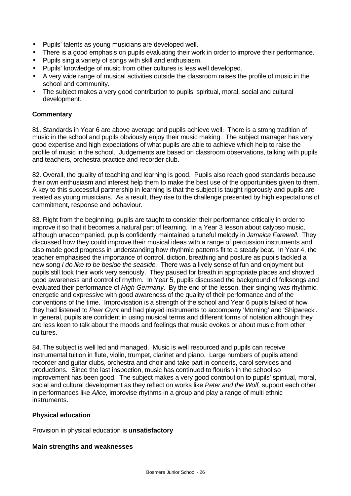- Pupils' talents as young musicians are developed well.
- There is a good emphasis on pupils evaluating their work in order to improve their performance.
- Pupils sing a variety of songs with skill and enthusiasm.
- Pupils' knowledge of music from other cultures is less well developed.
- A very wide range of musical activities outside the classroom raises the profile of music in the school and community.
- The subject makes a very good contribution to pupils' spiritual, moral, social and cultural development.

## **Commentary**

81. Standards in Year 6 are above average and pupils achieve well. There is a strong tradition of music in the school and pupils obviously enjoy their music making. The subject manager has very good expertise and high expectations of what pupils are able to achieve which help to raise the profile of music in the school. Judgements are based on classroom observations, talking with pupils and teachers, orchestra practice and recorder club.

82. Overall, the quality of teaching and learning is good. Pupils also reach good standards because their own enthusiasm and interest help them to make the best use of the opportunities given to them. A key to this successful partnership in learning is that the subject is taught rigorously and pupils are treated as young musicians. As a result, they rise to the challenge presented by high expectations of commitment, response and behaviour.

83. Right from the beginning, pupils are taught to consider their performance critically in order to improve it so that it becomes a natural part of learning. In a Year 3 lesson about calypso music, although unaccompanied, pupils confidently maintained a tuneful melody in *Jamaica Farewell.* They discussed how they could improve their musical ideas with a range of percussion instruments and also made good progress in understanding how rhythmic patterns fit to a steady beat. In Year 4, the teacher emphasised the importance of control, diction, breathing and posture as pupils tackled a new song *I do like to be beside the seaside.* There was a lively sense of fun and enjoyment but pupils still took their work very seriously. They paused for breath in appropriate places and showed good awareness and control of rhythm. In Year 5, pupils discussed the background of folksongs and evaluated their performance of *High Germany.* By the end of the lesson, their singing was rhythmic, energetic and expressive with good awareness of the quality of their performance and of the conventions of the time. Improvisation is a strength of the school and Year 6 pupils talked of how they had listened to *Peer Gynt* and had played instruments to accompany 'Morning' and 'Shipwreck'. In general, pupils are confident in using musical terms and different forms of notation although they are less keen to talk about the moods and feelings that music evokes or about music from other cultures.

84. The subject is well led and managed. Music is well resourced and pupils can receive instrumental tuition in flute, violin, trumpet, clarinet and piano. Large numbers of pupils attend recorder and guitar clubs, orchestra and choir and take part in concerts, carol services and productions. Since the last inspection, music has continued to flourish in the school so improvement has been good. The subject makes a very good contribution to pupils' spiritual, moral, social and cultural development as they reflect on works like *Peter and the Wolf,* support each other in performances like *Alice,* improvise rhythms in a group and play a range of multi ethnic instruments.

## **Physical education**

Provision in physical education is **unsatisfactory**

## **Main strengths and weaknesses**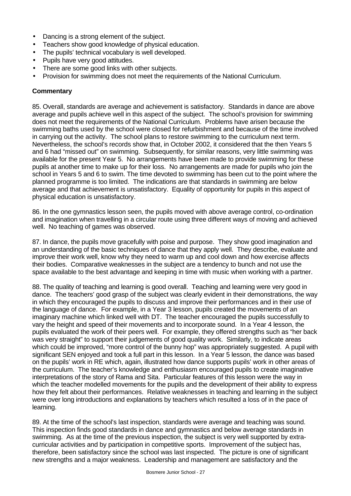- Dancing is a strong element of the subject.
- Teachers show good knowledge of physical education.
- The pupils' technical vocabulary is well developed.
- Pupils have very good attitudes.
- There are some good links with other subjects.
- Provision for swimming does not meet the requirements of the National Curriculum.

# **Commentary**

85. Overall, standards are average and achievement is satisfactory. Standards in dance are above average and pupils achieve well in this aspect of the subject. The school's provision for swimming does not meet the requirements of the National Curriculum. Problems have arisen because the swimming baths used by the school were closed for refurbishment and because of the time involved in carrying out the activity. The school plans to restore swimming to the curriculum next term. Nevertheless, the school's records show that, in October 2002, it considered that the then Years 5 and 6 had "missed out" on swimming. Subsequently, for similar reasons, very little swimming was available for the present Year 5. No arrangements have been made to provide swimming for these pupils at another time to make up for their loss. No arrangements are made for pupils who join the school in Years 5 and 6 to swim. The time devoted to swimming has been cut to the point where the planned programme is too limited. The indications are that standards in swimming are below average and that achievement is unsatisfactory. Equality of opportunity for pupils in this aspect of physical education is unsatisfactory.

86. In the one gymnastics lesson seen, the pupils moved with above average control, co-ordination and imagination when travelling in a circular route using three different ways of moving and achieved well. No teaching of games was observed.

87. In dance, the pupils move gracefully with poise and purpose. They show good imagination and an understanding of the basic techniques of dance that they apply well. They describe, evaluate and improve their work well, know why they need to warm up and cool down and how exercise affects their bodies. Comparative weaknesses in the subject are a tendency to bunch and not use the space available to the best advantage and keeping in time with music when working with a partner.

88. The quality of teaching and learning is good overall. Teaching and learning were very good in dance. The teachers' good grasp of the subject was clearly evident in their demonstrations, the way in which they encouraged the pupils to discuss and improve their performances and in their use of the language of dance. For example, in a Year 3 lesson, pupils created the movements of an imaginary machine which linked well with DT. The teacher encouraged the pupils successfully to vary the height and speed of their movements and to incorporate sound. In a Year 4 lesson, the pupils evaluated the work of their peers well. For example, they offered strengths such as "her back was very straight" to support their judgements of good quality work. Similarly, to indicate areas which could be improved, "more control of the bunny hop" was appropriately suggested. A pupil with significant SEN enjoyed and took a full part in this lesson. In a Year 5 lesson, the dance was based on the pupils' work in RE which, again, illustrated how dance supports pupils' work in other areas of the curriculum. The teacher's knowledge and enthusiasm encouraged pupils to create imaginative interpretations of the story of Rama and Sita. Particular features of this lesson were the way in which the teacher modelled movements for the pupils and the development of their ability to express how they felt about their performances. Relative weaknesses in teaching and learning in the subject were over long introductions and explanations by teachers which resulted a loss of in the pace of learning.

89. At the time of the school's last inspection, standards were average and teaching was sound. This inspection finds good standards in dance and gymnastics and below average standards in swimming. As at the time of the previous inspection, the subject is very well supported by extracurricular activities and by participation in competitive sports. Improvement of the subject has, therefore, been satisfactory since the school was last inspected. The picture is one of significant new strengths and a major weakness. Leadership and management are satisfactory and the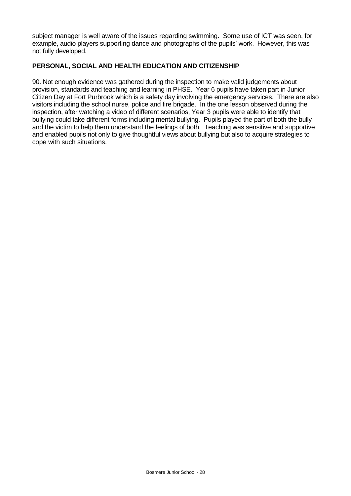subject manager is well aware of the issues regarding swimming. Some use of ICT was seen, for example, audio players supporting dance and photographs of the pupils' work. However, this was not fully developed.

## **PERSONAL, SOCIAL AND HEALTH EDUCATION AND CITIZENSHIP**

90. Not enough evidence was gathered during the inspection to make valid judgements about provision, standards and teaching and learning in PHSE. Year 6 pupils have taken part in Junior Citizen Day at Fort Purbrook which is a safety day involving the emergency services. There are also visitors including the school nurse, police and fire brigade. In the one lesson observed during the inspection, after watching a video of different scenarios, Year 3 pupils were able to identify that bullying could take different forms including mental bullying. Pupils played the part of both the bully and the victim to help them understand the feelings of both. Teaching was sensitive and supportive and enabled pupils not only to give thoughtful views about bullying but also to acquire strategies to cope with such situations.